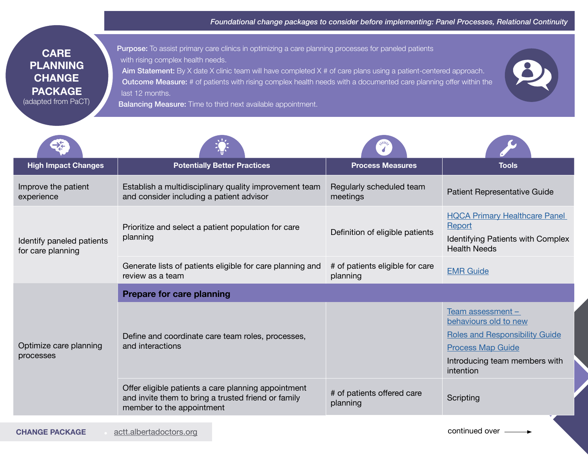| <b>CARE</b>         |
|---------------------|
| <b>PLANNING</b>     |
| <b>CHANGE</b>       |
| <b>PACKAGE</b>      |
| (adapted from PaCT) |

Purpose: To assist primary care clinics in optimizing a care planning processes for paneled patients with rising complex health needs. Aim Statement: By X date X clinic team will have completed X # of care plans using a patient-centered approach. Outcome Measure: # of patients with rising complex health needs with a documented care planning offer within the last 12 months.



Balancing Measure: Time to third next available appointment.

| <b>High Impact Changes</b>                     | <b>Potentially Better Practices</b>                                                                                                     | <b>Process Measures</b>                     | <b>Tools</b>                                                                                                                                                    |
|------------------------------------------------|-----------------------------------------------------------------------------------------------------------------------------------------|---------------------------------------------|-----------------------------------------------------------------------------------------------------------------------------------------------------------------|
| Improve the patient<br>experience              | Establish a multidisciplinary quality improvement team<br>and consider including a patient advisor                                      | Regularly scheduled team<br>meetings        | Patient Representative Guide                                                                                                                                    |
| Identify paneled patients<br>for care planning | Prioritize and select a patient population for care<br>planning                                                                         | Definition of eligible patients             | <b>HQCA Primary Healthcare Panel</b><br>Report<br><b>Identifying Patients with Complex</b><br><b>Health Needs</b>                                               |
|                                                | Generate lists of patients eligible for care planning and<br>review as a team                                                           | # of patients eligible for care<br>planning | <b>EMR Guide</b>                                                                                                                                                |
| Optimize care planning<br>processes            | <b>Prepare for care planning</b>                                                                                                        |                                             |                                                                                                                                                                 |
|                                                | Define and coordinate care team roles, processes,<br>and interactions                                                                   |                                             | Team assessment $-$<br>behaviours old to new<br><b>Roles and Responsibility Guide</b><br><b>Process Map Guide</b><br>Introducing team members with<br>intention |
|                                                | Offer eligible patients a care planning appointment<br>and invite them to bring a trusted friend or family<br>member to the appointment | # of patients offered care<br>planning      | Scripting                                                                                                                                                       |
|                                                |                                                                                                                                         |                                             |                                                                                                                                                                 |